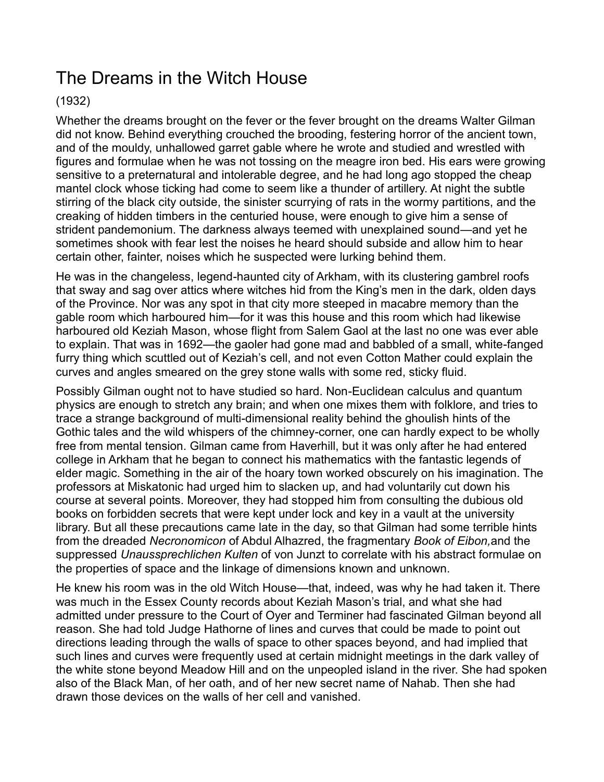## <span id="page-0-0"></span>The Dreams in the Witch House

## (1932)

Whether the dreams brought on the fever or the fever brought on the dreams Walter Gilman did not know. Behind everything crouched the brooding, festering horror of the ancient town, and of the mouldy, unhallowed garret gable where he wrote and studied and wrestled with figures and formulae when he was not tossing on the meagre iron bed. His ears were growing sensitive to a preternatural and intolerable degree, and he had long ago stopped the cheap mantel clock whose ticking had come to seem like a thunder of artillery. At night the subtle stirring of the black city outside, the sinister scurrying of rats in the wormy partitions, and the creaking of hidden timbers in the centuried house, were enough to give him a sense of strident pandemonium. The darkness always teemed with unexplained sound—and yet he sometimes shook with fear lest the noises he heard should subside and allow him to hear certain other, fainter, noises which he suspected were lurking behind them.

He was in the changeless, legend-haunted city of Arkham, with its clustering gambrel roofs that sway and sag over attics where witches hid from the King's men in the dark, olden days of the Province. Nor was any spot in that city more steeped in macabre memory than the gable room which harboured him—for it was this house and this room which had likewise harboured old Keziah Mason, whose flight from Salem Gaol at the last no one was ever able to explain. That was in 1692—the gaoler had gone mad and babbled of a small, white-fanged furry thing which scuttled out of Keziah's cell, and not even Cotton Mather could explain the curves and angles smeared on the grey stone walls with some red, sticky fluid.

Possibly Gilman ought not to have studied so hard. Non-Euclidean calculus and quantum physics are enough to stretch any brain; and when one mixes them with folklore, and tries to trace a strange background of multi-dimensional reality behind the ghoulish hints of the Gothic tales and the wild whispers of the chimney-corner, one can hardly expect to be wholly free from mental tension. Gilman came from Haverhill, but it was only after he had entered college in Arkham that he began to connect his mathematics with the fantastic legends of elder magic. Something in the air of the hoary town worked obscurely on his imagination. The professors at Miskatonic had urged him to slacken up, and had voluntarily cut down his course at several points. Moreover, they had stopped him from consulting the dubious old books on forbidden secrets that were kept under lock and key in a vault at the university library. But all these precautions came late in the day, so that Gilman had some terrible hints from the dreaded *Necronomicon* of Abdul Alhazred, the fragmentary *Book of Eibon,*and the suppressed *Unaussprechlichen Kulten* of von Junzt to correlate with his abstract formulae on the properties of space and the linkage of dimensions known and unknown.

He knew his room was in the old Witch House—that, indeed, was why he had taken it. There was much in the Essex County records about Keziah Mason's trial, and what she had admitted under pressure to the Court of Oyer and Terminer had fascinated Gilman beyond all reason. She had told Judge Hathorne of lines and curves that could be made to point out directions leading through the walls of space to other spaces beyond, and had implied that such lines and curves were frequently used at certain midnight meetings in the dark valley of the white stone beyond Meadow Hill and on the unpeopled island in the river. She had spoken also of the Black Man, of her oath, and of her new secret name of Nahab. Then she had drawn those devices on the walls of her cell and vanished.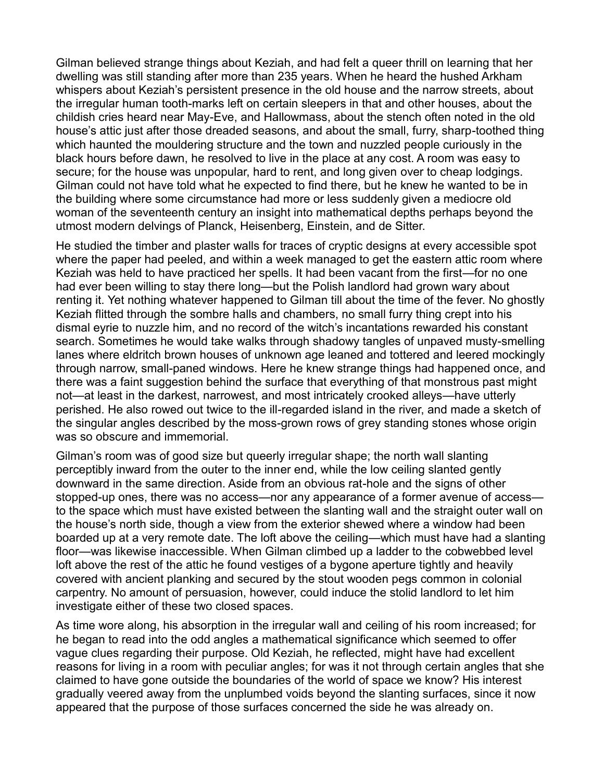Gilman believed strange things about Keziah, and had felt a queer thrill on learning that her dwelling was still standing after more than 235 years. When he heard the hushed Arkham whispers about Keziah's persistent presence in the old house and the narrow streets, about the irregular human tooth-marks left on certain sleepers in that and other houses, about the childish cries heard near May-Eve, and Hallowmass, about the stench often noted in the old house's attic just after those dreaded seasons, and about the small, furry, sharp-toothed thing which haunted the mouldering structure and the town and nuzzled people curiously in the black hours before dawn, he resolved to live in the place at any cost. A room was easy to secure; for the house was unpopular, hard to rent, and long given over to cheap lodgings. Gilman could not have told what he expected to find there, but he knew he wanted to be in the building where some circumstance had more or less suddenly given a mediocre old woman of the seventeenth century an insight into mathematical depths perhaps beyond the utmost modern delvings of Planck, Heisenberg, Einstein, and de Sitter.

He studied the timber and plaster walls for traces of cryptic designs at every accessible spot where the paper had peeled, and within a week managed to get the eastern attic room where Keziah was held to have practiced her spells. It had been vacant from the first—for no one had ever been willing to stay there long—but the Polish landlord had grown wary about renting it. Yet nothing whatever happened to Gilman till about the time of the fever. No ghostly Keziah flitted through the sombre halls and chambers, no small furry thing crept into his dismal eyrie to nuzzle him, and no record of the witch's incantations rewarded his constant search. Sometimes he would take walks through shadowy tangles of unpaved musty-smelling lanes where eldritch brown houses of unknown age leaned and tottered and leered mockingly through narrow, small-paned windows. Here he knew strange things had happened once, and there was a faint suggestion behind the surface that everything of that monstrous past might not—at least in the darkest, narrowest, and most intricately crooked alleys—have utterly perished. He also rowed out twice to the ill-regarded island in the river, and made a sketch of the singular angles described by the moss-grown rows of grey standing stones whose origin was so obscure and immemorial.

Gilman's room was of good size but queerly irregular shape; the north wall slanting perceptibly inward from the outer to the inner end, while the low ceiling slanted gently downward in the same direction. Aside from an obvious rat-hole and the signs of other stopped-up ones, there was no access—nor any appearance of a former avenue of access to the space which must have existed between the slanting wall and the straight outer wall on the house's north side, though a view from the exterior shewed where a window had been boarded up at a very remote date. The loft above the ceiling—which must have had a slanting floor—was likewise inaccessible. When Gilman climbed up a ladder to the cobwebbed level loft above the rest of the attic he found vestiges of a bygone aperture tightly and heavily covered with ancient planking and secured by the stout wooden pegs common in colonial carpentry. No amount of persuasion, however, could induce the stolid landlord to let him investigate either of these two closed spaces.

As time wore along, his absorption in the irregular wall and ceiling of his room increased; for he began to read into the odd angles a mathematical significance which seemed to offer vague clues regarding their purpose. Old Keziah, he reflected, might have had excellent reasons for living in a room with peculiar angles; for was it not through certain angles that she claimed to have gone outside the boundaries of the world of space we know? His interest gradually veered away from the unplumbed voids beyond the slanting surfaces, since it now appeared that the purpose of those surfaces concerned the side he was already on.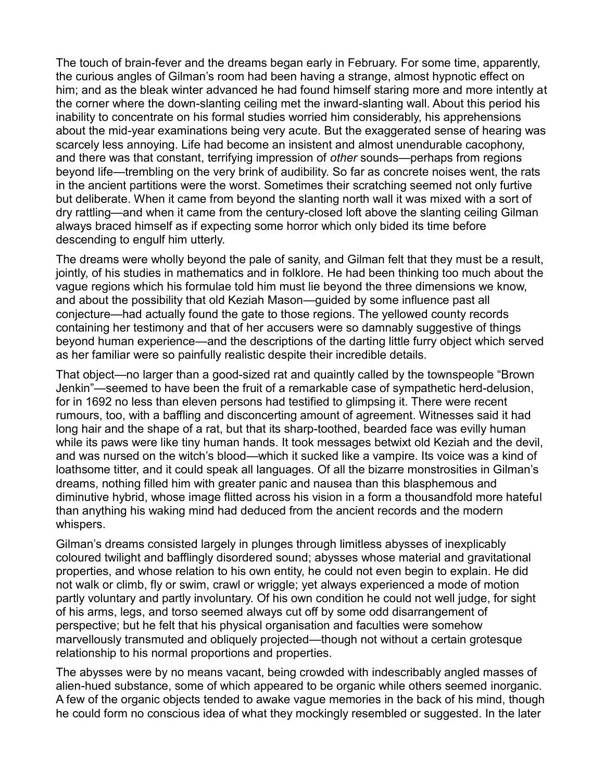The touch of brain-fever and the dreams began early in February. For some time, apparently, the curious angles of Gilman's room had been having a strange, almost hypnotic effect on him; and as the bleak winter advanced he had found himself staring more and more intently at the corner where the down-slanting ceiling met the inward-slanting wall. About this period his inability to concentrate on his formal studies worried him considerably, his apprehensions about the mid-year examinations being very acute. But the exaggerated sense of hearing was scarcely less annoying. Life had become an insistent and almost unendurable cacophony, and there was that constant, terrifying impression of *other* sounds—perhaps from regions beyond life—trembling on the very brink of audibility. So far as concrete noises went, the rats in the ancient partitions were the worst. Sometimes their scratching seemed not only furtive but deliberate. When it came from beyond the slanting north wall it was mixed with a sort of dry rattling—and when it came from the century-closed loft above the slanting ceiling Gilman always braced himself as if expecting some horror which only bided its time before descending to engulf him utterly.

The dreams were wholly beyond the pale of sanity, and Gilman felt that they must be a result, jointly, of his studies in mathematics and in folklore. He had been thinking too much about the vague regions which his formulae told him must lie beyond the three dimensions we know, and about the possibility that old Keziah Mason—quided by some influence past all conjecture—had actually found the gate to those regions. The yellowed county records containing her testimony and that of her accusers were so damnably suggestive of things beyond human experience—and the descriptions of the darting little furry object which served as her familiar were so painfully realistic despite their incredible details.

That object—no larger than a good-sized rat and quaintly called by the townspeople "Brown Jenkin"—seemed to have been the fruit of a remarkable case of sympathetic herd-delusion, for in 1692 no less than eleven persons had testified to glimpsing it. There were recent rumours, too, with a baffling and disconcerting amount of agreement. Witnesses said it had long hair and the shape of a rat, but that its sharp-toothed, bearded face was evilly human while its paws were like tiny human hands. It took messages betwixt old Keziah and the devil, and was nursed on the witch's blood—which it sucked like a vampire. Its voice was a kind of loathsome titter, and it could speak all languages. Of all the bizarre monstrosities in Gilman's dreams, nothing filled him with greater panic and nausea than this blasphemous and diminutive hybrid, whose image flitted across his vision in a form a thousandfold more hateful than anything his waking mind had deduced from the ancient records and the modern whispers.

Gilman's dreams consisted largely in plunges through limitless abysses of inexplicably coloured twilight and bafflingly disordered sound; abysses whose material and gravitational properties, and whose relation to his own entity, he could not even begin to explain. He did not walk or climb, fly or swim, crawl or wriggle; yet always experienced a mode of motion partly voluntary and partly involuntary. Of his own condition he could not well judge, for sight of his arms, legs, and torso seemed always cut off by some odd disarrangement of perspective; but he felt that his physical organisation and faculties were somehow marvellously transmuted and obliquely projected—though not without a certain grotesque relationship to his normal proportions and properties.

The abysses were by no means vacant, being crowded with indescribably angled masses of alien-hued substance, some of which appeared to be organic while others seemed inorganic. A few of the organic objects tended to awake vague memories in the back of his mind, though he could form no conscious idea of what they mockingly resembled or suggested. In the later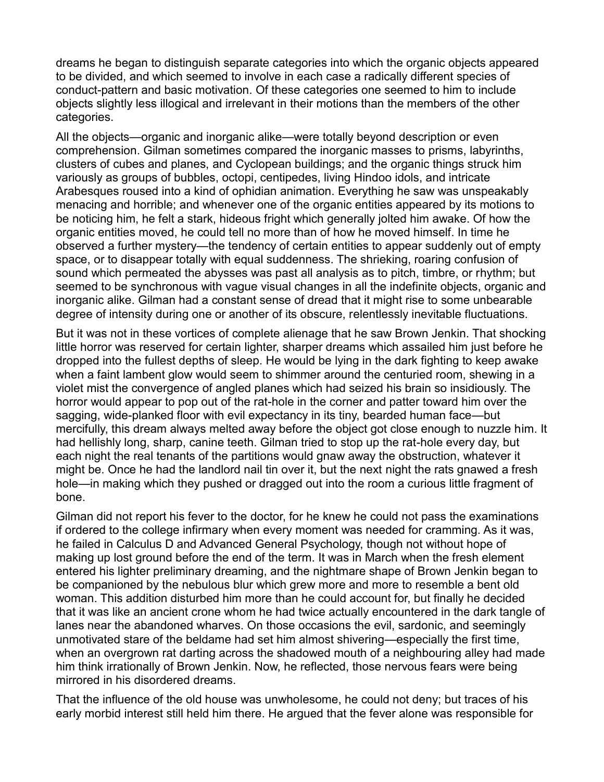dreams he began to distinguish separate categories into which the organic objects appeared to be divided, and which seemed to involve in each case a radically different species of conduct-pattern and basic motivation. Of these categories one seemed to him to include objects slightly less illogical and irrelevant in their motions than the members of the other categories.

All the objects—organic and inorganic alike—were totally beyond description or even comprehension. Gilman sometimes compared the inorganic masses to prisms, labyrinths, clusters of cubes and planes, and Cyclopean buildings; and the organic things struck him variously as groups of bubbles, octopi, centipedes, living Hindoo idols, and intricate Arabesques roused into a kind of ophidian animation. Everything he saw was unspeakably menacing and horrible; and whenever one of the organic entities appeared by its motions to be noticing him, he felt a stark, hideous fright which generally jolted him awake. Of how the organic entities moved, he could tell no more than of how he moved himself. In time he observed a further mystery—the tendency of certain entities to appear suddenly out of empty space, or to disappear totally with equal suddenness. The shrieking, roaring confusion of sound which permeated the abysses was past all analysis as to pitch, timbre, or rhythm; but seemed to be synchronous with vague visual changes in all the indefinite objects, organic and inorganic alike. Gilman had a constant sense of dread that it might rise to some unbearable degree of intensity during one or another of its obscure, relentlessly inevitable fluctuations.

But it was not in these vortices of complete alienage that he saw Brown Jenkin. That shocking little horror was reserved for certain lighter, sharper dreams which assailed him just before he dropped into the fullest depths of sleep. He would be lying in the dark fighting to keep awake when a faint lambent glow would seem to shimmer around the centuried room, shewing in a violet mist the convergence of angled planes which had seized his brain so insidiously. The horror would appear to pop out of the rat-hole in the corner and patter toward him over the sagging, wide-planked floor with evil expectancy in its tiny, bearded human face—but mercifully, this dream always melted away before the object got close enough to nuzzle him. It had hellishly long, sharp, canine teeth. Gilman tried to stop up the rat-hole every day, but each night the real tenants of the partitions would gnaw away the obstruction, whatever it might be. Once he had the landlord nail tin over it, but the next night the rats gnawed a fresh hole—in making which they pushed or dragged out into the room a curious little fragment of bone.

Gilman did not report his fever to the doctor, for he knew he could not pass the examinations if ordered to the college infirmary when every moment was needed for cramming. As it was, he failed in Calculus D and Advanced General Psychology, though not without hope of making up lost ground before the end of the term. It was in March when the fresh element entered his lighter preliminary dreaming, and the nightmare shape of Brown Jenkin began to be companioned by the nebulous blur which grew more and more to resemble a bent old woman. This addition disturbed him more than he could account for, but finally he decided that it was like an ancient crone whom he had twice actually encountered in the dark tangle of lanes near the abandoned wharves. On those occasions the evil, sardonic, and seemingly unmotivated stare of the beldame had set him almost shivering—especially the first time, when an overgrown rat darting across the shadowed mouth of a neighbouring alley had made him think irrationally of Brown Jenkin. Now, he reflected, those nervous fears were being mirrored in his disordered dreams.

That the influence of the old house was unwholesome, he could not deny; but traces of his early morbid interest still held him there. He argued that the fever alone was responsible for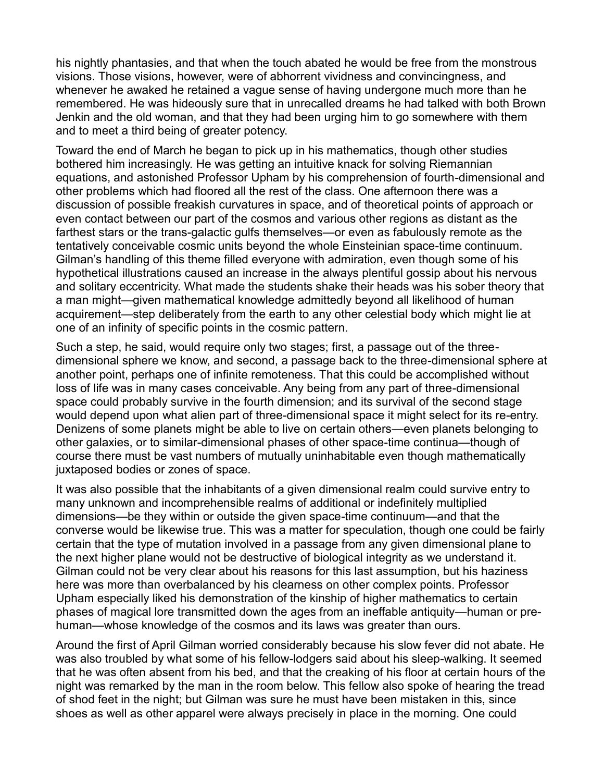his nightly phantasies, and that when the touch abated he would be free from the monstrous visions. Those visions, however, were of abhorrent vividness and convincingness, and whenever he awaked he retained a vague sense of having undergone much more than he remembered. He was hideously sure that in unrecalled dreams he had talked with both Brown Jenkin and the old woman, and that they had been urging him to go somewhere with them and to meet a third being of greater potency.

Toward the end of March he began to pick up in his mathematics, though other studies bothered him increasingly. He was getting an intuitive knack for solving Riemannian equations, and astonished Professor Upham by his comprehension of fourth-dimensional and other problems which had floored all the rest of the class. One afternoon there was a discussion of possible freakish curvatures in space, and of theoretical points of approach or even contact between our part of the cosmos and various other regions as distant as the farthest stars or the trans-galactic gulfs themselves—or even as fabulously remote as the tentatively conceivable cosmic units beyond the whole Einsteinian space-time continuum. Gilman's handling of this theme filled everyone with admiration, even though some of his hypothetical illustrations caused an increase in the always plentiful gossip about his nervous and solitary eccentricity. What made the students shake their heads was his sober theory that a man might—given mathematical knowledge admittedly beyond all likelihood of human acquirement—step deliberately from the earth to any other celestial body which might lie at one of an infinity of specific points in the cosmic pattern.

Such a step, he said, would require only two stages; first, a passage out of the threedimensional sphere we know, and second, a passage back to the three-dimensional sphere at another point, perhaps one of infinite remoteness. That this could be accomplished without loss of life was in many cases conceivable. Any being from any part of three-dimensional space could probably survive in the fourth dimension; and its survival of the second stage would depend upon what alien part of three-dimensional space it might select for its re-entry. Denizens of some planets might be able to live on certain others—even planets belonging to other galaxies, or to similar-dimensional phases of other space-time continua—though of course there must be vast numbers of mutually uninhabitable even though mathematically juxtaposed bodies or zones of space.

It was also possible that the inhabitants of a given dimensional realm could survive entry to many unknown and incomprehensible realms of additional or indefinitely multiplied dimensions—be they within or outside the given space-time continuum—and that the converse would be likewise true. This was a matter for speculation, though one could be fairly certain that the type of mutation involved in a passage from any given dimensional plane to the next higher plane would not be destructive of biological integrity as we understand it. Gilman could not be very clear about his reasons for this last assumption, but his haziness here was more than overbalanced by his clearness on other complex points. Professor Upham especially liked his demonstration of the kinship of higher mathematics to certain phases of magical lore transmitted down the ages from an ineffable antiquity—human or prehuman—whose knowledge of the cosmos and its laws was greater than ours.

Around the first of April Gilman worried considerably because his slow fever did not abate. He was also troubled by what some of his fellow-lodgers said about his sleep-walking. It seemed that he was often absent from his bed, and that the creaking of his floor at certain hours of the night was remarked by the man in the room below. This fellow also spoke of hearing the tread of shod feet in the night; but Gilman was sure he must have been mistaken in this, since shoes as well as other apparel were always precisely in place in the morning. One could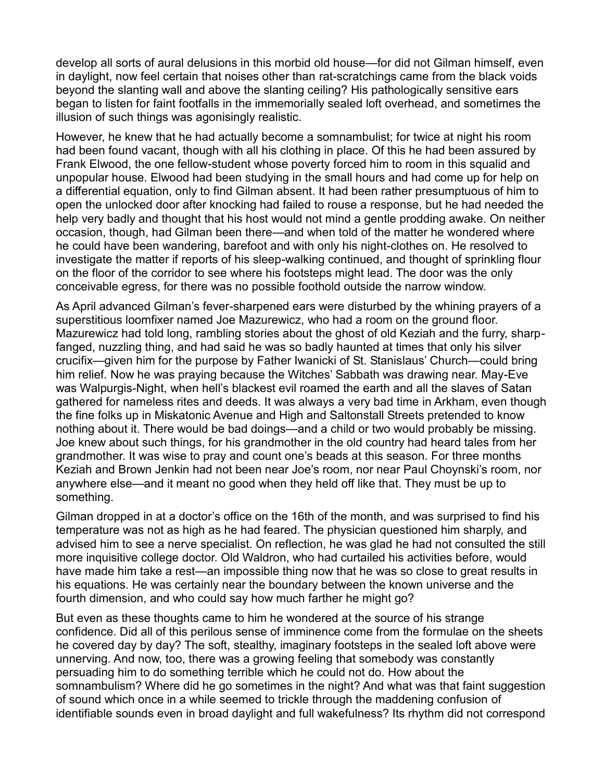develop all sorts of aural delusions in this morbid old house—for did not Gilman himself, even in daylight, now feel certain that noises other than rat-scratchings came from the black voids beyond the slanting wall and above the slanting ceiling? His pathologically sensitive ears began to listen for faint footfalls in the immemorially sealed loft overhead, and sometimes the illusion of such things was agonisingly realistic.

However, he knew that he had actually become a somnambulist; for twice at night his room had been found vacant, though with all his clothing in place. Of this he had been assured by Frank Elwood, the one fellow-student whose poverty forced him to room in this squalid and unpopular house. Elwood had been studying in the small hours and had come up for help on a differential equation, only to find Gilman absent. It had been rather presumptuous of him to open the unlocked door after knocking had failed to rouse a response, but he had needed the help very badly and thought that his host would not mind a gentle prodding awake. On neither occasion, though, had Gilman been there—and when told of the matter he wondered where he could have been wandering, barefoot and with only his night-clothes on. He resolved to investigate the matter if reports of his sleep-walking continued, and thought of sprinkling flour on the floor of the corridor to see where his footsteps might lead. The door was the only conceivable egress, for there was no possible foothold outside the narrow window.

As April advanced Gilman's fever-sharpened ears were disturbed by the whining prayers of a superstitious loomfixer named Joe Mazurewicz, who had a room on the ground floor. Mazurewicz had told long, rambling stories about the ghost of old Keziah and the furry, sharpfanged, nuzzling thing, and had said he was so badly haunted at times that only his silver crucifix—given him for the purpose by Father Iwanicki of St. Stanislaus' Church—could bring him relief. Now he was praying because the Witches' Sabbath was drawing near. May-Eve was Walpurgis-Night, when hell's blackest evil roamed the earth and all the slaves of Satan gathered for nameless rites and deeds. It was always a very bad time in Arkham, even though the fine folks up in Miskatonic Avenue and High and Saltonstall Streets pretended to know nothing about it. There would be bad doings—and a child or two would probably be missing. Joe knew about such things, for his grandmother in the old country had heard tales from her grandmother. It was wise to pray and count one's beads at this season. For three months Keziah and Brown Jenkin had not been near Joe's room, nor near Paul Choynski's room, nor anywhere else—and it meant no good when they held off like that. They must be up to something.

Gilman dropped in at a doctor's office on the 16th of the month, and was surprised to find his temperature was not as high as he had feared. The physician questioned him sharply, and advised him to see a nerve specialist. On reflection, he was glad he had not consulted the still more inquisitive college doctor. Old Waldron, who had curtailed his activities before, would have made him take a rest—an impossible thing now that he was so close to great results in his equations. He was certainly near the boundary between the known universe and the fourth dimension, and who could say how much farther he might go?

But even as these thoughts came to him he wondered at the source of his strange confidence. Did all of this perilous sense of imminence come from the formulae on the sheets he covered day by day? The soft, stealthy, imaginary footsteps in the sealed loft above were unnerving. And now, too, there was a growing feeling that somebody was constantly persuading him to do something terrible which he could not do. How about the somnambulism? Where did he go sometimes in the night? And what was that faint suggestion of sound which once in a while seemed to trickle through the maddening confusion of identifiable sounds even in broad daylight and full wakefulness? Its rhythm did not correspond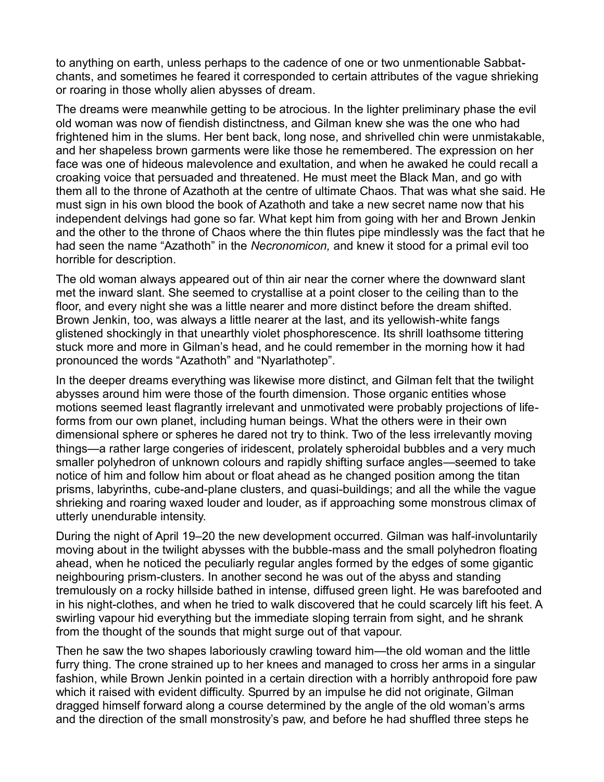to anything on earth, unless perhaps to the cadence of one or two unmentionable Sabbatchants, and sometimes he feared it corresponded to certain attributes of the vague shrieking or roaring in those wholly alien abysses of dream.

The dreams were meanwhile getting to be atrocious. In the lighter preliminary phase the evil old woman was now of fiendish distinctness, and Gilman knew she was the one who had frightened him in the slums. Her bent back, long nose, and shrivelled chin were unmistakable, and her shapeless brown garments were like those he remembered. The expression on her face was one of hideous malevolence and exultation, and when he awaked he could recall a croaking voice that persuaded and threatened. He must meet the Black Man, and go with them all to the throne of Azathoth at the centre of ultimate Chaos. That was what she said. He must sign in his own blood the book of Azathoth and take a new secret name now that his independent delvings had gone so far. What kept him from going with her and Brown Jenkin and the other to the throne of Chaos where the thin flutes pipe mindlessly was the fact that he had seen the name "Azathoth" in the Necronomicon, and knew it stood for a primal evil too horrible for description.

The old woman always appeared out of thin air near the corner where the downward slant met the inward slant. She seemed to crystallise at a point closer to the ceiling than to the floor, and every night she was a little nearer and more distinct before the dream shifted. Brown Jenkin, too, was always a little nearer at the last, and its yellowish-white fangs glistened shockingly in that unearthly violet phosphorescence. Its shrill loathsome tittering stuck more and more in Gilman's head, and he could remember in the morning how it had pronounced the words "Azathoth" and "Nyarlathotep".

In the deeper dreams everything was likewise more distinct, and Gilman felt that the twilight abysses around him were those of the fourth dimension. Those organic entities whose motions seemed least flagrantly irrelevant and unmotivated were probably projections of lifeforms from our own planet, including human beings. What the others were in their own dimensional sphere or spheres he dared not try to think. Two of the less irrelevantly moving things—a rather large congeries of iridescent, prolately spheroidal bubbles and a very much smaller polyhedron of unknown colours and rapidly shifting surface angles—seemed to take notice of him and follow him about or float ahead as he changed position among the titan prisms, labyrinths, cube-and-plane clusters, and quasi-buildings; and all the while the vague shrieking and roaring waxed louder and louder, as if approaching some monstrous climax of utterly unendurable intensity.

During the night of April 19-20 the new development occurred. Gilman was half-involuntarily moving about in the twilight abysses with the bubble-mass and the small polyhedron floating ahead, when he noticed the peculiarly regular angles formed by the edges of some gigantic neighbouring prism-clusters. In another second he was out of the abyss and standing tremulously on a rocky hillside bathed in intense, diffused green light. He was barefooted and in his night-clothes, and when he tried to walk discovered that he could scarcely lift his feet. A swirling vapour hid everything but the immediate sloping terrain from sight, and he shrank from the thought of the sounds that might surge out of that vapour.

Then he saw the two shapes laboriously crawling toward him—the old woman and the little furry thing. The crone strained up to her knees and managed to cross her arms in a singular fashion, while Brown Jenkin pointed in a certain direction with a horribly anthropoid fore paw which it raised with evident difficulty. Spurred by an impulse he did not originate, Gilman dragged himself forward along a course determined by the angle of the old woman's arms and the direction of the small monstrosity's paw, and before he had shuffled three steps he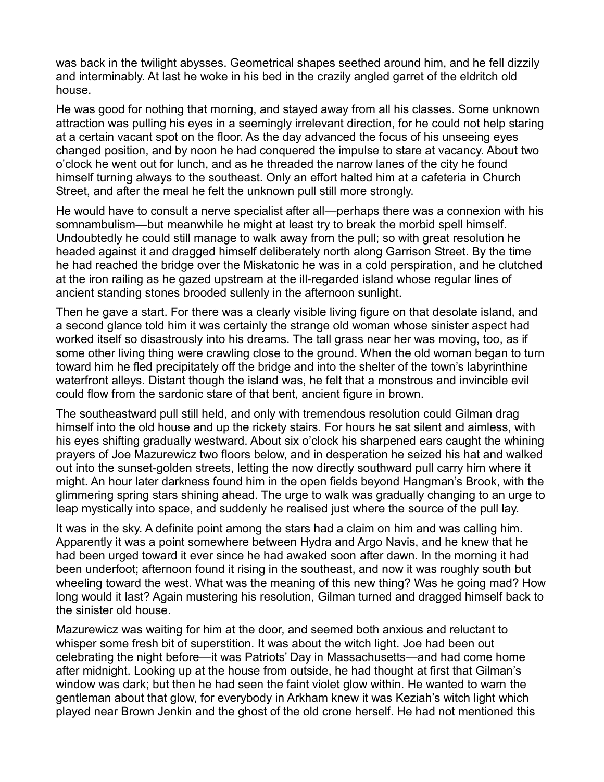was back in the twilight abysses. Geometrical shapes seethed around him, and he fell dizzily and interminably. At last he woke in his bed in the crazily angled garret of the eldritch old house.

He was good for nothing that morning, and stayed away from all his classes. Some unknown attraction was pulling his eyes in a seemingly irrelevant direction, for he could not help staring at a certain vacant spot on the floor. As the day advanced the focus of his unseeing eyes changed position, and by noon he had conquered the impulse to stare at vacancy. About two o'clock he went out for lunch, and as he threaded the narrow lanes of the city he found himself turning always to the southeast. Only an effort halted him at a cafeteria in Church Street, and after the meal he felt the unknown pull still more strongly.

He would have to consult a nerve specialist after all—perhaps there was a connexion with his somnambulism—but meanwhile he might at least try to break the morbid spell himself. Undoubtedly he could still manage to walk away from the pull; so with great resolution he headed against it and dragged himself deliberately north along Garrison Street. By the time he had reached the bridge over the Miskatonic he was in a cold perspiration, and he clutched at the iron railing as he gazed upstream at the ill-regarded island whose regular lines of ancient standing stones brooded sullenly in the afternoon sunlight.

Then he gave a start. For there was a clearly visible living figure on that desolate island, and a second glance told him it was certainly the strange old woman whose sinister aspect had worked itself so disastrously into his dreams. The tall grass near her was moving, too, as if some other living thing were crawling close to the ground. When the old woman began to turn toward him he fled precipitately off the bridge and into the shelter of the town's labyrinthine waterfront alleys. Distant though the island was, he felt that a monstrous and invincible evil could flow from the sardonic stare of that bent, ancient figure in brown.

The southeastward pull still held, and only with tremendous resolution could Gilman drag himself into the old house and up the rickety stairs. For hours he sat silent and aimless, with his eyes shifting gradually westward. About six o'clock his sharpened ears caught the whining prayers of Joe Mazurewicz two floors below, and in desperation he seized his hat and walked out into the sunset-golden streets, letting the now directly southward pull carry him where it might. An hour later darkness found him in the open fields beyond Hangman's Brook, with the glimmering spring stars shining ahead. The urge to walk was gradually changing to an urge to leap mystically into space, and suddenly he realised just where the source of the pull lay.

It was in the sky. A definite point among the stars had a claim on him and was calling him. Apparently it was a point somewhere between Hydra and Argo Navis, and he knew that he had been urged toward it ever since he had awaked soon after dawn. In the morning it had been underfoot; afternoon found it rising in the southeast, and now it was roughly south but wheeling toward the west. What was the meaning of this new thing? Was he going mad? How long would it last? Again mustering his resolution, Gilman turned and dragged himself back to the sinister old house.

Mazurewicz was waiting for him at the door, and seemed both anxious and reluctant to whisper some fresh bit of superstition. It was about the witch light. Joe had been out celebrating the night before—it was Patriots' Day in Massachusetts—and had come home after midnight. Looking up at the house from outside, he had thought at first that Gilman's window was dark; but then he had seen the faint violet glow within. He wanted to warn the gentleman about that glow, for everybody in Arkham knew it was Keziah's witch light which played near Brown Jenkin and the ghost of the old crone herself. He had not mentioned this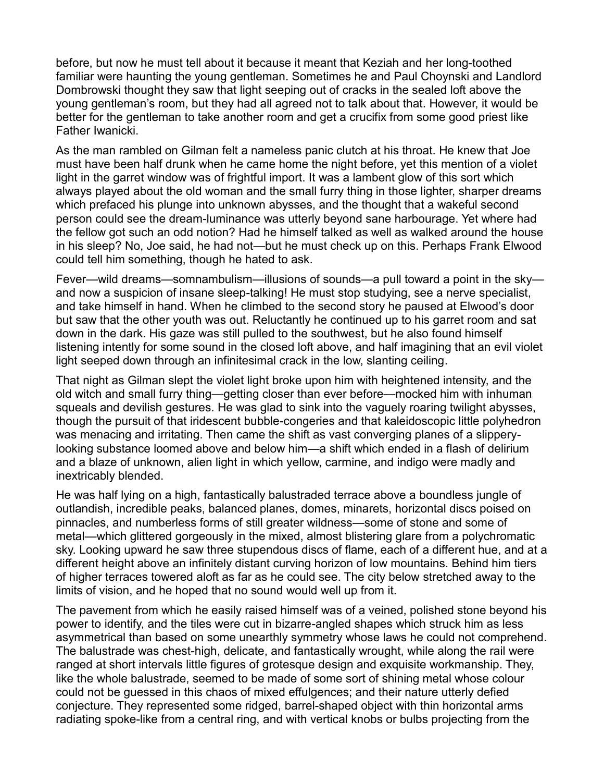before, but now he must tell about it because it meant that Keziah and her long-toothed familiar were haunting the young gentleman. Sometimes he and Paul Choynski and Landlord Dombrowski thought they saw that light seeping out of cracks in the sealed loft above the young gentleman's room, but they had all agreed not to talk about that. However, it would be better for the gentleman to take another room and get a crucifix from some good priest like Father Iwanicki.

As the man rambled on Gilman felt a nameless panic clutch at his throat. He knew that Joe must have been half drunk when he came home the night before, yet this mention of a violet light in the garret window was of frightful import. It was a lambent glow of this sort which always played about the old woman and the small furry thing in those lighter, sharper dreams which prefaced his plunge into unknown abysses, and the thought that a wakeful second person could see the dream-luminance was utterly beyond sane harbourage. Yet where had the fellow got such an odd notion? Had he himself talked as well as walked around the house in his sleep? No, Joe said, he had not—but he must check up on this. Perhaps Frank Elwood could tell him something, though he hated to ask.

Fever—wild dreams—somnambulism—illusions of sounds—a pull toward a point in the sky and now a suspicion of insane sleep-talking! He must stop studying, see a nerve specialist, and take himself in hand. When he climbed to the second story he paused at Elwood's door but saw that the other youth was out. Reluctantly he continued up to his garret room and sat down in the dark. His gaze was still pulled to the southwest, but he also found himself listening intently for some sound in the closed loft above, and half imagining that an evil violet light seeped down through an infinitesimal crack in the low, slanting ceiling.

That night as Gilman slept the violet light broke upon him with heightened intensity, and the old witch and small furry thing—getting closer than ever before—mocked him with inhuman squeals and devilish gestures. He was glad to sink into the vaguely roaring twilight abysses, though the pursuit of that iridescent bubble-congeries and that kaleidoscopic little polyhedron was menacing and irritating. Then came the shift as vast converging planes of a slipperylooking substance loomed above and below him—a shift which ended in a flash of delirium and a blaze of unknown, alien light in which yellow, carmine, and indigo were madly and inextricably blended.

He was half lying on a high, fantastically balustraded terrace above a boundless jungle of outlandish, incredible peaks, balanced planes, domes, minarets, horizontal discs poised on pinnacles, and numberless forms of still greater wildness—some of stone and some of metal—which glittered gorgeously in the mixed, almost blistering glare from a polychromatic sky. Looking upward he saw three stupendous discs of flame, each of a different hue, and at a different height above an infinitely distant curving horizon of low mountains. Behind him tiers of higher terraces towered aloft as far as he could see. The city below stretched away to the limits of vision, and he hoped that no sound would well up from it.

The pavement from which he easily raised himself was of a veined, polished stone beyond his power to identify, and the tiles were cut in bizarre-angled shapes which struck him as less asymmetrical than based on some unearthly symmetry whose laws he could not comprehend. The balustrade was chest-high, delicate, and fantastically wrought, while along the rail were ranged at short intervals little figures of grotesque design and exquisite workmanship. They, like the whole balustrade, seemed to be made of some sort of shining metal whose colour could not be guessed in this chaos of mixed effulgences; and their nature utterly defied conjecture. They represented some ridged, barrel-shaped object with thin horizontal arms radiating spoke-like from a central ring, and with vertical knobs or bulbs projecting from the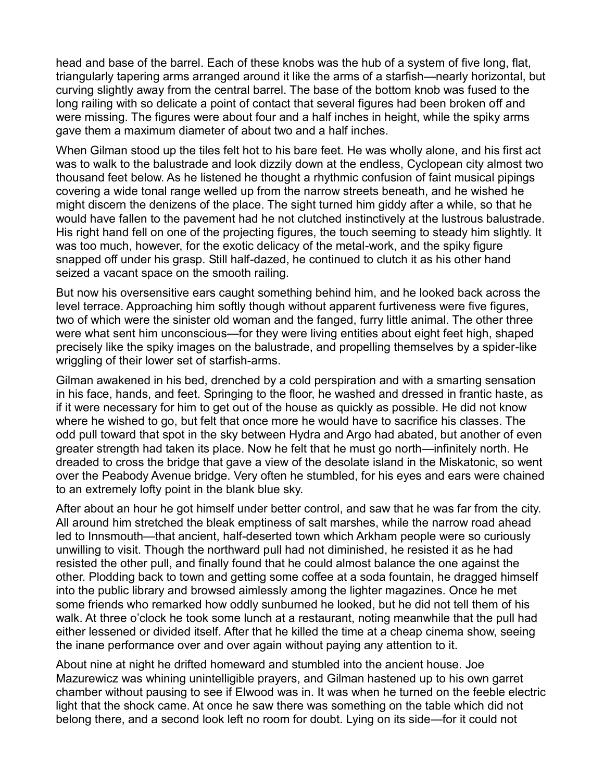head and base of the barrel. Each of these knobs was the hub of a system of five long, flat, triangularly tapering arms arranged around it like the arms of a starfish—nearly horizontal, but curving slightly away from the central barrel. The base of the bottom knob was fused to the long railing with so delicate a point of contact that several figures had been broken off and were missing. The figures were about four and a half inches in height, while the spiky arms gave them a maximum diameter of about two and a half inches.

When Gilman stood up the tiles felt hot to his bare feet. He was wholly alone, and his first act was to walk to the balustrade and look dizzily down at the endless, Cyclopean city almost two thousand feet below. As he listened he thought a rhythmic confusion of faint musical pipings covering a wide tonal range welled up from the narrow streets beneath, and he wished he might discern the denizens of the place. The sight turned him giddy after a while, so that he would have fallen to the pavement had he not clutched instinctively at the lustrous balustrade. His right hand fell on one of the projecting figures, the touch seeming to steady him slightly. It was too much, however, for the exotic delicacy of the metal-work, and the spiky figure snapped off under his grasp. Still half-dazed, he continued to clutch it as his other hand seized a vacant space on the smooth railing.

But now his oversensitive ears caught something behind him, and he looked back across the level terrace. Approaching him softly though without apparent furtiveness were five figures, two of which were the sinister old woman and the fanged, furry little animal. The other three were what sent him unconscious—for they were living entities about eight feet high, shaped precisely like the spiky images on the balustrade, and propelling themselves by a spider-like wriggling of their lower set of starfish-arms.

Gilman awakened in his bed, drenched by a cold perspiration and with a smarting sensation in his face, hands, and feet. Springing to the floor, he washed and dressed in frantic haste, as if it were necessary for him to get out of the house as quickly as possible. He did not know where he wished to go, but felt that once more he would have to sacrifice his classes. The odd pull toward that spot in the sky between Hydra and Argo had abated, but another of even greater strength had taken its place. Now he felt that he must go north—infinitely north. He dreaded to cross the bridge that gave a view of the desolate island in the Miskatonic, so went over the Peabody Avenue bridge. Very often he stumbled, for his eyes and ears were chained to an extremely lofty point in the blank blue sky.

After about an hour he got himself under better control, and saw that he was far from the city. All around him stretched the bleak emptiness of salt marshes, while the narrow road ahead led to Innsmouth—that ancient, half-deserted town which Arkham people were so curiously unwilling to visit. Though the northward pull had not diminished, he resisted it as he had resisted the other pull, and finally found that he could almost balance the one against the other. Plodding back to town and getting some coffee at a soda fountain, he dragged himself into the public library and browsed aimlessly among the lighter magazines. Once he met some friends who remarked how oddly sunburned he looked, but he did not tell them of his walk. At three o'clock he took some lunch at a restaurant, noting meanwhile that the pull had either lessened or divided itself. After that he killed the time at a cheap cinema show, seeing the inane performance over and over again without paying any attention to it.

About nine at night he drifted homeward and stumbled into the ancient house. Joe Mazurewicz was whining unintelligible prayers, and Gilman hastened up to his own garret chamber without pausing to see if Elwood was in. It was when he turned on the feeble electric light that the shock came. At once he saw there was something on the table which did not belong there, and a second look left no room for doubt. Lying on its side—for it could not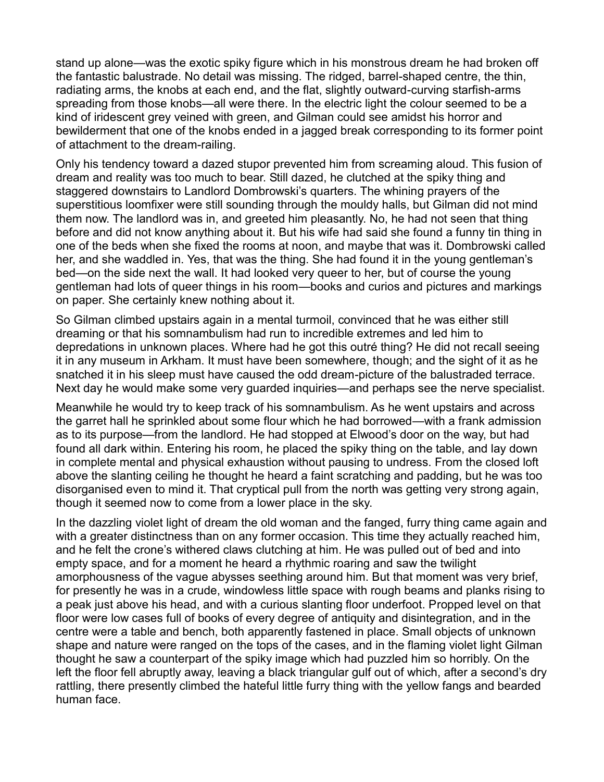stand up alone—was the exotic spiky figure which in his monstrous dream he had broken off the fantastic balustrade. No detail was missing. The ridged, barrel-shaped centre, the thin, radiating arms, the knobs at each end, and the flat, slightly outward-curving starfish-arms spreading from those knobs—all were there. In the electric light the colour seemed to be a kind of iridescent grey veined with green, and Gilman could see amidst his horror and bewilderment that one of the knobs ended in a jagged break corresponding to its former point of attachment to the dream-railing.

Only his tendency toward a dazed stupor prevented him from screaming aloud. This fusion of dream and reality was too much to bear. Still dazed, he clutched at the spiky thing and staggered downstairs to Landlord Dombrowski's quarters. The whining prayers of the superstitious loomfixer were still sounding through the mouldy halls, but Gilman did not mind them now. The landlord was in, and greeted him pleasantly. No, he had not seen that thing before and did not know anything about it. But his wife had said she found a funny tin thing in one of the beds when she fixed the rooms at noon, and maybe that was it. Dombrowski called her, and she waddled in. Yes, that was the thing. She had found it in the young gentleman's bed—on the side next the wall. It had looked very queer to her, but of course the young gentleman had lots of queer things in his room—books and curios and pictures and markings on paper. She certainly knew nothing about it.

So Gilman climbed upstairs again in a mental turmoil, convinced that he was either still dreaming or that his somnambulism had run to incredible extremes and led him to depredations in unknown places. Where had he got this outré thing? He did not recall seeing it in any museum in Arkham. It must have been somewhere, though; and the sight of it as he snatched it in his sleep must have caused the odd dream-picture of the balustraded terrace. Next day he would make some very guarded inquiries—and perhaps see the nerve specialist.

Meanwhile he would try to keep track of his somnambulism. As he went upstairs and across the garret hall he sprinkled about some flour which he had borrowed—with a frank admission as to its purpose—from the landlord. He had stopped at Elwood's door on the way, but had found all dark within. Entering his room, he placed the spiky thing on the table, and lay down in complete mental and physical exhaustion without pausing to undress. From the closed loft above the slanting ceiling he thought he heard a faint scratching and padding, but he was too disorganised even to mind it. That cryptical pull from the north was getting very strong again, though it seemed now to come from a lower place in the sky.

In the dazzling violet light of dream the old woman and the fanged, furry thing came again and with a greater distinctness than on any former occasion. This time they actually reached him, and he felt the crone's withered claws clutching at him. He was pulled out of bed and into empty space, and for a moment he heard a rhythmic roaring and saw the twilight amorphousness of the vague abysses seething around him. But that moment was very brief, for presently he was in a crude, windowless little space with rough beams and planks rising to a peak just above his head, and with a curious slanting floor underfoot. Propped level on that floor were low cases full of books of every degree of antiquity and disintegration, and in the centre were a table and bench, both apparently fastened in place. Small objects of unknown shape and nature were ranged on the tops of the cases, and in the flaming violet light Gilman thought he saw a counterpart of the spiky image which had puzzled him so horribly. On the left the floor fell abruptly away, leaving a black triangular gulf out of which, after a second's dry rattling, there presently climbed the hateful little furry thing with the yellow fangs and bearded human face.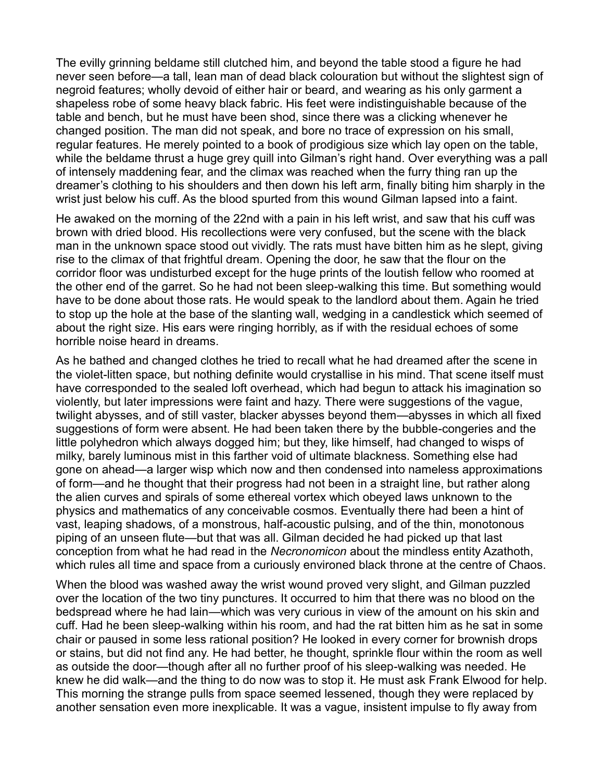The evilly grinning beldame still clutched him, and beyond the table stood a figure he had never seen before—a tall, lean man of dead black colouration but without the slightest sign of negroid features; wholly devoid of either hair or beard, and wearing as his only garment a shapeless robe of some heavy black fabric. His feet were indistinguishable because of the table and bench, but he must have been shod, since there was a clicking whenever he changed position. The man did not speak, and bore no trace of expression on his small, regular features. He merely pointed to a book of prodigious size which lay open on the table, while the beldame thrust a huge grey quill into Gilman's right hand. Over everything was a pall of intensely maddening fear, and the climax was reached when the furry thing ran up the dreamer's clothing to his shoulders and then down his left arm, finally biting him sharply in the wrist just below his cuff. As the blood spurted from this wound Gilman lapsed into a faint.

He awaked on the morning of the 22nd with a pain in his left wrist, and saw that his cuff was brown with dried blood. His recollections were very confused, but the scene with the black man in the unknown space stood out vividly. The rats must have bitten him as he slept, giving rise to the climax of that frightful dream. Opening the door, he saw that the flour on the corridor floor was undisturbed except for the huge prints of the loutish fellow who roomed at the other end of the garret. So he had not been sleep-walking this time. But something would have to be done about those rats. He would speak to the landlord about them. Again he tried to stop up the hole at the base of the slanting wall, wedging in a candlestick which seemed of about the right size. His ears were ringing horribly, as if with the residual echoes of some horrible noise heard in dreams.

As he bathed and changed clothes he tried to recall what he had dreamed after the scene in the violet-litten space, but nothing definite would crystallise in his mind. That scene itself must have corresponded to the sealed loft overhead, which had begun to attack his imagination so violently, but later impressions were faint and hazy. There were suggestions of the vague, twilight abysses, and of still vaster, blacker abysses beyond them—abysses in which all fixed suggestions of form were absent. He had been taken there by the bubble-congeries and the little polyhedron which always dogged him; but they, like himself, had changed to wisps of milky, barely luminous mist in this farther void of ultimate blackness. Something else had gone on ahead—a larger wisp which now and then condensed into nameless approximations of form—and he thought that their progress had not been in a straight line, but rather along the alien curves and spirals of some ethereal vortex which obeyed laws unknown to the physics and mathematics of any conceivable cosmos. Eventually there had been a hint of vast, leaping shadows, of a monstrous, half-acoustic pulsing, and of the thin, monotonous piping of an unseen flute—but that was all. Gilman decided he had picked up that last conception from what he had read in the *Necronomicon* about the mindless entity Azathoth, which rules all time and space from a curiously environed black throne at the centre of Chaos.

When the blood was washed away the wrist wound proved very slight, and Gilman puzzled over the location of the two tiny punctures. It occurred to him that there was no blood on the bedspread where he had lain—which was very curious in view of the amount on his skin and cuff. Had he been sleep-walking within his room, and had the rat bitten him as he sat in some chair or paused in some less rational position? He looked in every corner for brownish drops or stains, but did not find any. He had better, he thought, sprinkle flour within the room as well as outside the door—though after all no further proof of his sleep-walking was needed. He knew he did walk—and the thing to do now was to stop it. He must ask Frank Elwood for help. This morning the strange pulls from space seemed lessened, though they were replaced by another sensation even more inexplicable. It was a vague, insistent impulse to fly away from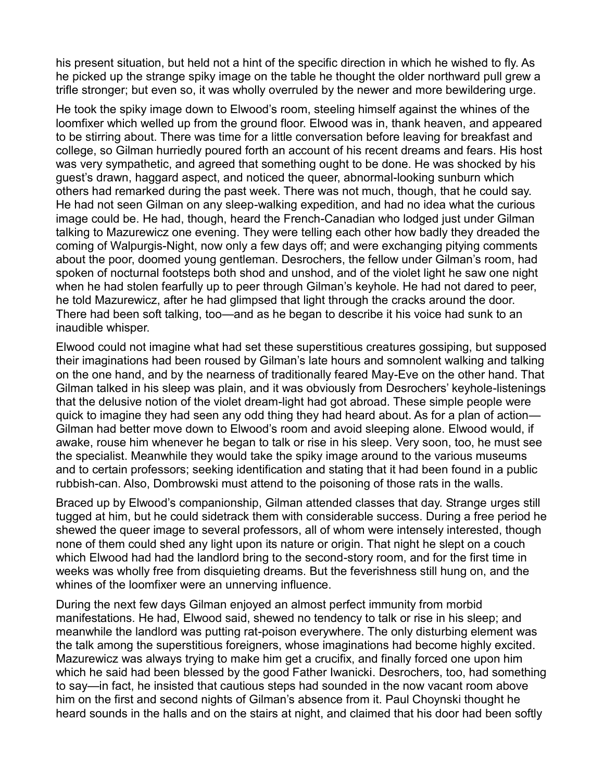his present situation, but held not a hint of the specific direction in which he wished to fly. As he picked up the strange spiky image on the table he thought the older northward pull grew a trifle stronger; but even so, it was wholly overruled by the newer and more bewildering urge.

He took the spiky image down to Elwood's room, steeling himself against the whines of the loomfixer which welled up from the ground floor. Elwood was in, thank heaven, and appeared to be stirring about. There was time for a little conversation before leaving for breakfast and college, so Gilman hurriedly poured forth an account of his recent dreams and fears. His host was very sympathetic, and agreed that something ought to be done. He was shocked by his guest's drawn, haggard aspect, and noticed the queer, abnormal-looking sunburn which others had remarked during the past week. There was not much, though, that he could say. He had not seen Gilman on any sleep-walking expedition, and had no idea what the curious image could be. He had, though, heard the French-Canadian who lodged just under Gilman talking to Mazurewicz one evening. They were telling each other how badly they dreaded the coming of Walpurgis-Night, now only a few days off; and were exchanging pitying comments about the poor, doomed young gentleman. Desrochers, the fellow under Gilman's room, had spoken of nocturnal footsteps both shod and unshod, and of the violet light he saw one night when he had stolen fearfully up to peer through Gilman's keyhole. He had not dared to peer, he told Mazurewicz, after he had glimpsed that light through the cracks around the door. There had been soft talking, too—and as he began to describe it his voice had sunk to an inaudible whisper.

Elwood could not imagine what had set these superstitious creatures gossiping, but supposed their imaginations had been roused by Gilman's late hours and somnolent walking and talking on the one hand, and by the nearness of traditionally feared May-Eve on the other hand. That Gilman talked in his sleep was plain, and it was obviously from Desrochers' keyhole-listenings that the delusive notion of the violet dream-light had got abroad. These simple people were quick to imagine they had seen any odd thing they had heard about. As for a plan of action— Gilman had better move down to Elwood's room and avoid sleeping alone. Elwood would, if awake, rouse him whenever he began to talk or rise in his sleep. Very soon, too, he must see the specialist. Meanwhile they would take the spiky image around to the various museums and to certain professors; seeking identification and stating that it had been found in a public rubbish-can. Also, Dombrowski must attend to the poisoning of those rats in the walls.

Braced up by Elwood's companionship, Gilman attended classes that day. Strange urges still tugged at him, but he could sidetrack them with considerable success. During a free period he shewed the queer image to several professors, all of whom were intensely interested, though none of them could shed any light upon its nature or origin. That night he slept on a couch which Elwood had had the landlord bring to the second-story room, and for the first time in weeks was wholly free from disquieting dreams. But the feverishness still hung on, and the whines of the loomfixer were an unnerving influence.

During the next few days Gilman enjoyed an almost perfect immunity from morbid manifestations. He had, Elwood said, shewed no tendency to talk or rise in his sleep; and meanwhile the landlord was putting rat-poison everywhere. The only disturbing element was the talk among the superstitious foreigners, whose imaginations had become highly excited. Mazurewicz was always trying to make him get a crucifix, and finally forced one upon him which he said had been blessed by the good Father Iwanicki. Desrochers, too, had something to say—in fact, he insisted that cautious steps had sounded in the now vacant room above him on the first and second nights of Gilman's absence from it. Paul Choynski thought he heard sounds in the halls and on the stairs at night, and claimed that his door had been softly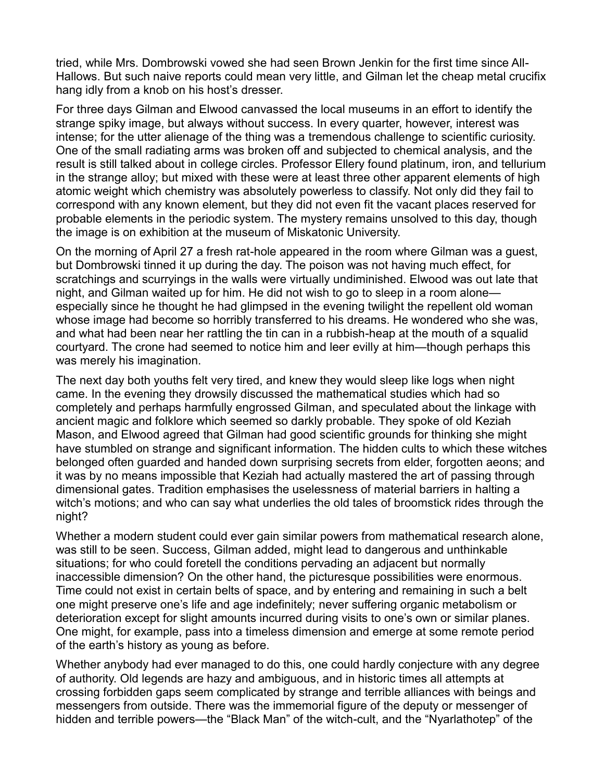tried, while Mrs. Dombrowski vowed she had seen Brown Jenkin for the first time since All-Hallows. But such naive reports could mean very little, and Gilman let the cheap metal crucifix hang idly from a knob on his host's dresser.

For three days Gilman and Elwood canvassed the local museums in an effort to identify the strange spiky image, but always without success. In every quarter, however, interest was intense; for the utter alienage of the thing was a tremendous challenge to scientific curiosity. One of the small radiating arms was broken off and subjected to chemical analysis, and the result is still talked about in college circles. Professor Ellery found platinum, iron, and tellurium in the strange alloy; but mixed with these were at least three other apparent elements of high atomic weight which chemistry was absolutely powerless to classify. Not only did they fail to correspond with any known element, but they did not even fit the vacant places reserved for probable elements in the periodic system. The mystery remains unsolved to this day, though the image is on exhibition at the museum of Miskatonic University.

On the morning of April 27 a fresh rat-hole appeared in the room where Gilman was a guest, but Dombrowski tinned it up during the day. The poison was not having much effect, for scratchings and scurryings in the walls were virtually undiminished. Elwood was out late that night, and Gilman waited up for him. He did not wish to go to sleep in a room alone especially since he thought he had glimpsed in the evening twilight the repellent old woman whose image had become so horribly transferred to his dreams. He wondered who she was, and what had been near her rattling the tin can in a rubbish-heap at the mouth of a squalid courtyard. The crone had seemed to notice him and leer evilly at him—though perhaps this was merely his imagination.

The next day both youths felt very tired, and knew they would sleep like logs when night came. In the evening they drowsily discussed the mathematical studies which had so completely and perhaps harmfully engrossed Gilman, and speculated about the linkage with ancient magic and folklore which seemed so darkly probable. They spoke of old Keziah Mason, and Elwood agreed that Gilman had good scientific grounds for thinking she might have stumbled on strange and significant information. The hidden cults to which these witches belonged often guarded and handed down surprising secrets from elder, forgotten aeons; and it was by no means impossible that Keziah had actually mastered the art of passing through dimensional gates. Tradition emphasises the uselessness of material barriers in halting a witch's motions; and who can say what underlies the old tales of broomstick rides through the night?

Whether a modern student could ever gain similar powers from mathematical research alone, was still to be seen. Success, Gilman added, might lead to dangerous and unthinkable situations; for who could foretell the conditions pervading an adjacent but normally inaccessible dimension? On the other hand, the picturesque possibilities were enormous. Time could not exist in certain belts of space, and by entering and remaining in such a belt one might preserve one's life and age indefinitely; never suffering organic metabolism or deterioration except for slight amounts incurred during visits to one's own or similar planes. One might, for example, pass into a timeless dimension and emerge at some remote period of the earth's history as young as before.

Whether anybody had ever managed to do this, one could hardly conjecture with any degree of authority. Old legends are hazy and ambiguous, and in historic times all attempts at crossing forbidden gaps seem complicated by strange and terrible alliances with beings and messengers from outside. There was the immemorial figure of the deputy or messenger of hidden and terrible powers—the "Black Man" of the witch-cult, and the "Nyarlathotep" of the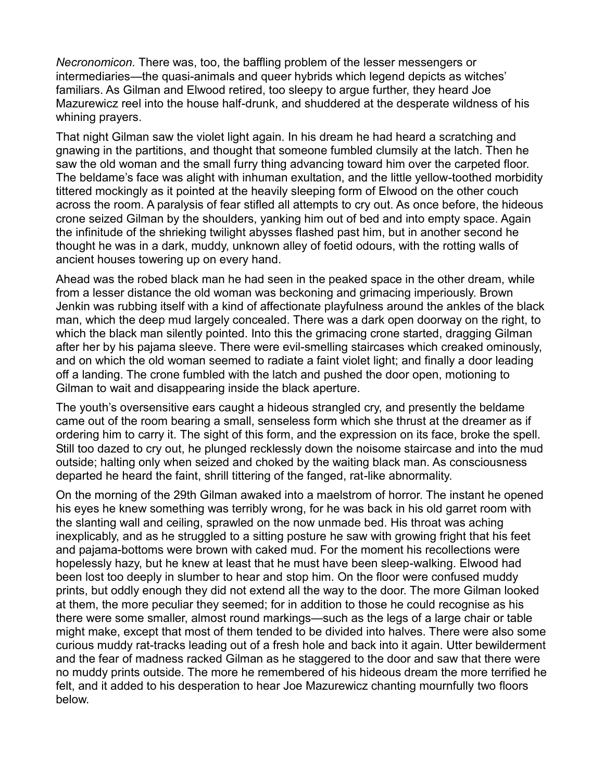*Necronomicon.* There was, too, the baffling problem of the lesser messengers or intermediaries—the quasi-animals and queer hybrids which legend depicts as witches' familiars. As Gilman and Elwood retired, too sleepy to argue further, they heard Joe Mazurewicz reel into the house half-drunk, and shuddered at the desperate wildness of his whining prayers.

That night Gilman saw the violet light again. In his dream he had heard a scratching and gnawing in the partitions, and thought that someone fumbled clumsily at the latch. Then he saw the old woman and the small furry thing advancing toward him over the carpeted floor. The beldame's face was alight with inhuman exultation, and the little yellow-toothed morbidity tittered mockingly as it pointed at the heavily sleeping form of Elwood on the other couch across the room. A paralysis of fear stifled all attempts to cry out. As once before, the hideous crone seized Gilman by the shoulders, yanking him out of bed and into empty space. Again the infinitude of the shrieking twilight abysses flashed past him, but in another second he thought he was in a dark, muddy, unknown alley of foetid odours, with the rotting walls of ancient houses towering up on every hand.

Ahead was the robed black man he had seen in the peaked space in the other dream, while from a lesser distance the old woman was beckoning and grimacing imperiously. Brown Jenkin was rubbing itself with a kind of affectionate playfulness around the ankles of the black man, which the deep mud largely concealed. There was a dark open doorway on the right, to which the black man silently pointed. Into this the grimacing crone started, dragging Gilman after her by his pajama sleeve. There were evil-smelling staircases which creaked ominously, and on which the old woman seemed to radiate a faint violet light; and finally a door leading off a landing. The crone fumbled with the latch and pushed the door open, motioning to Gilman to wait and disappearing inside the black aperture.

The youth's oversensitive ears caught a hideous strangled cry, and presently the beldame came out of the room bearing a small, senseless form which she thrust at the dreamer as if ordering him to carry it. The sight of this form, and the expression on its face, broke the spell. Still too dazed to cry out, he plunged recklessly down the noisome staircase and into the mud outside; halting only when seized and choked by the waiting black man. As consciousness departed he heard the faint, shrill tittering of the fanged, rat-like abnormality.

On the morning of the 29th Gilman awaked into a maelstrom of horror. The instant he opened his eyes he knew something was terribly wrong, for he was back in his old garret room with the slanting wall and ceiling, sprawled on the now unmade bed. His throat was aching inexplicably, and as he struggled to a sitting posture he saw with growing fright that his feet and pajama-bottoms were brown with caked mud. For the moment his recollections were hopelessly hazy, but he knew at least that he must have been sleep-walking. Elwood had been lost too deeply in slumber to hear and stop him. On the floor were confused muddy prints, but oddly enough they did not extend all the way to the door. The more Gilman looked at them, the more peculiar they seemed; for in addition to those he could recognise as his there were some smaller, almost round markings—such as the legs of a large chair or table might make, except that most of them tended to be divided into halves. There were also some curious muddy rat-tracks leading out of a fresh hole and back into it again. Utter bewilderment and the fear of madness racked Gilman as he staggered to the door and saw that there were no muddy prints outside. The more he remembered of his hideous dream the more terrified he felt, and it added to his desperation to hear Joe Mazurewicz chanting mournfully two floors below.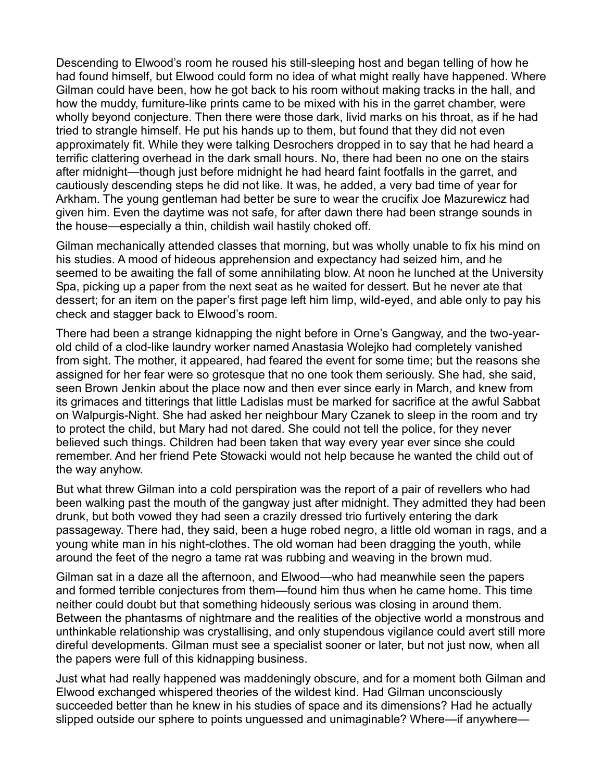Descending to Elwood's room he roused his still-sleeping host and began telling of how he had found himself, but Elwood could form no idea of what might really have happened. Where Gilman could have been, how he got back to his room without making tracks in the hall, and how the muddy, furniture-like prints came to be mixed with his in the garret chamber, were wholly beyond conjecture. Then there were those dark, livid marks on his throat, as if he had tried to strangle himself. He put his hands up to them, but found that they did not even approximately fit. While they were talking Desrochers dropped in to say that he had heard a terrific clattering overhead in the dark small hours. No, there had been no one on the stairs after midnight—though just before midnight he had heard faint footfalls in the garret, and cautiously descending steps he did not like. It was, he added, a very bad time of year for Arkham. The young gentleman had better be sure to wear the crucifix Joe Mazurewicz had given him. Even the daytime was not safe, for after dawn there had been strange sounds in the house—especially a thin, childish wail hastily choked off.

Gilman mechanically attended classes that morning, but was wholly unable to fix his mind on his studies. A mood of hideous apprehension and expectancy had seized him, and he seemed to be awaiting the fall of some annihilating blow. At noon he lunched at the University Spa, picking up a paper from the next seat as he waited for dessert. But he never ate that dessert; for an item on the paper's first page left him limp, wild-eyed, and able only to pay his check and stagger back to Elwood's room.

There had been a strange kidnapping the night before in Orne's Gangway, and the two-yearold child of a clod-like laundry worker named Anastasia Wolejko had completely vanished from sight. The mother, it appeared, had feared the event for some time; but the reasons she assigned for her fear were so grotesque that no one took them seriously. She had, she said, seen Brown Jenkin about the place now and then ever since early in March, and knew from its grimaces and titterings that little Ladislas must be marked for sacrifice at the awful Sabbat on Walpurgis-Night. She had asked her neighbour Mary Czanek to sleep in the room and try to protect the child, but Mary had not dared. She could not tell the police, for they never believed such things. Children had been taken that way every year ever since she could remember. And her friend Pete Stowacki would not help because he wanted the child out of the way anyhow.

But what threw Gilman into a cold perspiration was the report of a pair of revellers who had been walking past the mouth of the gangway just after midnight. They admitted they had been drunk, but both vowed they had seen a crazily dressed trio furtively entering the dark passageway. There had, they said, been a huge robed negro, a little old woman in rags, and a young white man in his night-clothes. The old woman had been dragging the youth, while around the feet of the negro a tame rat was rubbing and weaving in the brown mud.

Gilman sat in a daze all the afternoon, and Elwood—who had meanwhile seen the papers and formed terrible conjectures from them—found him thus when he came home. This time neither could doubt but that something hideously serious was closing in around them. Between the phantasms of nightmare and the realities of the objective world a monstrous and unthinkable relationship was crystallising, and only stupendous vigilance could avert still more direful developments. Gilman must see a specialist sooner or later, but not just now, when all the papers were full of this kidnapping business.

Just what had really happened was maddeningly obscure, and for a moment both Gilman and Elwood exchanged whispered theories of the wildest kind. Had Gilman unconsciously succeeded better than he knew in his studies of space and its dimensions? Had he actually slipped outside our sphere to points unguessed and unimaginable? Where—if anywhere—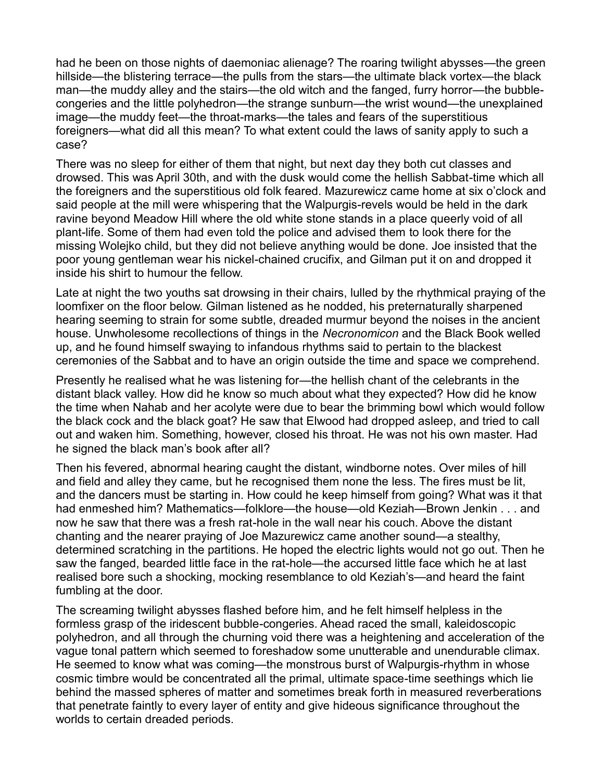had he been on those nights of daemoniac alienage? The roaring twilight abysses—the green hillside—the blistering terrace—the pulls from the stars—the ultimate black vortex—the black man—the muddy alley and the stairs—the old witch and the fanged, furry horror—the bubblecongeries and the little polyhedron—the strange sunburn—the wrist wound—the unexplained image—the muddy feet—the throat-marks—the tales and fears of the superstitious foreigners—what did all this mean? To what extent could the laws of sanity apply to such a case?

There was no sleep for either of them that night, but next day they both cut classes and drowsed. This was April 30th, and with the dusk would come the hellish Sabbat-time which all the foreigners and the superstitious old folk feared. Mazurewicz came home at six o'clock and said people at the mill were whispering that the Walpurgis-revels would be held in the dark ravine beyond Meadow Hill where the old white stone stands in a place queerly void of all plant-life. Some of them had even told the police and advised them to look there for the missing Wolejko child, but they did not believe anything would be done. Joe insisted that the poor young gentleman wear his nickel-chained crucifix, and Gilman put it on and dropped it inside his shirt to humour the fellow.

Late at night the two youths sat drowsing in their chairs, lulled by the rhythmical praying of the loomfixer on the floor below. Gilman listened as he nodded, his preternaturally sharpened hearing seeming to strain for some subtle, dreaded murmur beyond the noises in the ancient house. Unwholesome recollections of things in the *Necronomicon* and the Black Book welled up, and he found himself swaying to infandous rhythms said to pertain to the blackest ceremonies of the Sabbat and to have an origin outside the time and space we comprehend.

Presently he realised what he was listening for—the hellish chant of the celebrants in the distant black valley. How did he know so much about what they expected? How did he know the time when Nahab and her acolyte were due to bear the brimming bowl which would follow the black cock and the black goat? He saw that Elwood had dropped asleep, and tried to call out and waken him. Something, however, closed his throat. He was not his own master. Had he signed the black man's book after all?

Then his fevered, abnormal hearing caught the distant, windborne notes. Over miles of hill and field and alley they came, but he recognised them none the less. The fires must be lit, and the dancers must be starting in. How could he keep himself from going? What was it that had enmeshed him? Mathematics—folklore—the house—old Keziah—Brown Jenkin . . . and now he saw that there was a fresh rat-hole in the wall near his couch. Above the distant chanting and the nearer praying of Joe Mazurewicz came another sound—a stealthy, determined scratching in the partitions. He hoped the electric lights would not go out. Then he saw the fanged, bearded little face in the rat-hole—the accursed little face which he at last realised bore such a shocking, mocking resemblance to old Keziah's—and heard the faint fumbling at the door.

The screaming twilight abysses flashed before him, and he felt himself helpless in the formless grasp of the iridescent bubble-congeries. Ahead raced the small, kaleidoscopic polyhedron, and all through the churning void there was a heightening and acceleration of the vague tonal pattern which seemed to foreshadow some unutterable and unendurable climax. He seemed to know what was coming—the monstrous burst of Walpurgis-rhythm in whose cosmic timbre would be concentrated all the primal, ultimate space-time seethings which lie behind the massed spheres of matter and sometimes break forth in measured reverberations that penetrate faintly to every layer of entity and give hideous significance throughout the worlds to certain dreaded periods.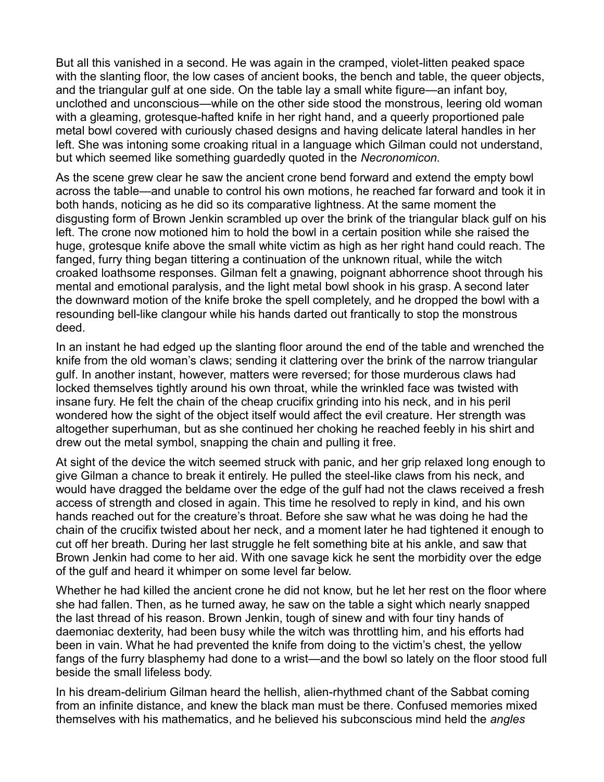But all this vanished in a second. He was again in the cramped, violet-litten peaked space with the slanting floor, the low cases of ancient books, the bench and table, the queer objects, and the triangular gulf at one side. On the table lay a small white figure—an infant boy, unclothed and unconscious—while on the other side stood the monstrous, leering old woman with a gleaming, grotesque-hafted knife in her right hand, and a queerly proportioned pale metal bowl covered with curiously chased designs and having delicate lateral handles in her left. She was intoning some croaking ritual in a language which Gilman could not understand, but which seemed like something guardedly quoted in the *Necronomicon.*

As the scene grew clear he saw the ancient crone bend forward and extend the empty bowl across the table—and unable to control his own motions, he reached far forward and took it in both hands, noticing as he did so its comparative lightness. At the same moment the disgusting form of Brown Jenkin scrambled up over the brink of the triangular black gulf on his left. The crone now motioned him to hold the bowl in a certain position while she raised the huge, grotesque knife above the small white victim as high as her right hand could reach. The fanged, furry thing began tittering a continuation of the unknown ritual, while the witch croaked loathsome responses. Gilman felt a gnawing, poignant abhorrence shoot through his mental and emotional paralysis, and the light metal bowl shook in his grasp. A second later the downward motion of the knife broke the spell completely, and he dropped the bowl with a resounding bell-like clangour while his hands darted out frantically to stop the monstrous deed.

In an instant he had edged up the slanting floor around the end of the table and wrenched the knife from the old woman's claws; sending it clattering over the brink of the narrow triangular gulf. In another instant, however, matters were reversed; for those murderous claws had locked themselves tightly around his own throat, while the wrinkled face was twisted with insane fury. He felt the chain of the cheap crucifix grinding into his neck, and in his peril wondered how the sight of the object itself would affect the evil creature. Her strength was altogether superhuman, but as she continued her choking he reached feebly in his shirt and drew out the metal symbol, snapping the chain and pulling it free.

At sight of the device the witch seemed struck with panic, and her grip relaxed long enough to give Gilman a chance to break it entirely. He pulled the steel-like claws from his neck, and would have dragged the beldame over the edge of the gulf had not the claws received a fresh access of strength and closed in again. This time he resolved to reply in kind, and his own hands reached out for the creature's throat. Before she saw what he was doing he had the chain of the crucifix twisted about her neck, and a moment later he had tightened it enough to cut off her breath. During her last struggle he felt something bite at his ankle, and saw that Brown Jenkin had come to her aid. With one savage kick he sent the morbidity over the edge of the gulf and heard it whimper on some level far below.

Whether he had killed the ancient crone he did not know, but he let her rest on the floor where she had fallen. Then, as he turned away, he saw on the table a sight which nearly snapped the last thread of his reason. Brown Jenkin, tough of sinew and with four tiny hands of daemoniac dexterity, had been busy while the witch was throttling him, and his efforts had been in vain. What he had prevented the knife from doing to the victim's chest, the yellow fangs of the furry blasphemy had done to a wrist—and the bowl so lately on the floor stood full beside the small lifeless body.

In his dream-delirium Gilman heard the hellish, alien-rhythmed chant of the Sabbat coming from an infinite distance, and knew the black man must be there. Confused memories mixed themselves with his mathematics, and he believed his subconscious mind held the *angles*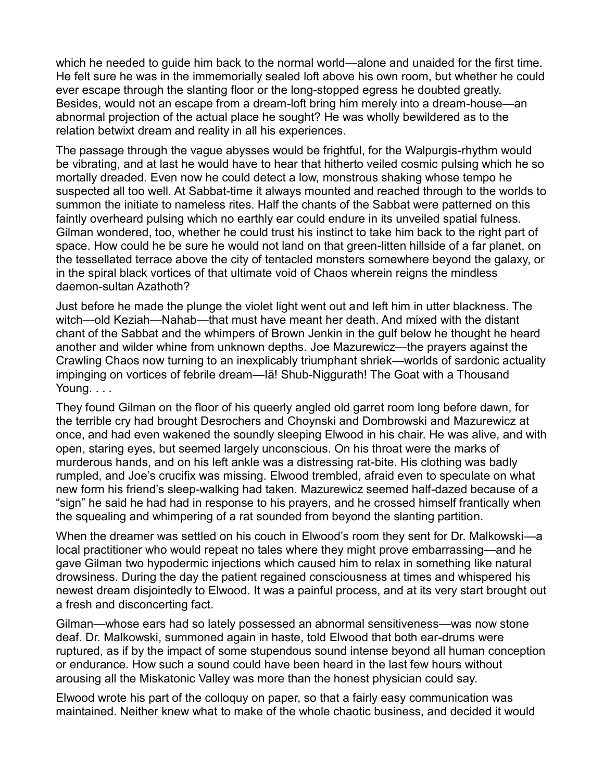which he needed to guide him back to the normal world—alone and unaided for the first time. He felt sure he was in the immemorially sealed loft above his own room, but whether he could ever escape through the slanting floor or the long-stopped egress he doubted greatly. Besides, would not an escape from a dream-loft bring him merely into a dream-house—an abnormal projection of the actual place he sought? He was wholly bewildered as to the relation betwixt dream and reality in all his experiences.

The passage through the vague abysses would be frightful, for the Walpurgis-rhythm would be vibrating, and at last he would have to hear that hitherto veiled cosmic pulsing which he so mortally dreaded. Even now he could detect a low, monstrous shaking whose tempo he suspected all too well. At Sabbat-time it always mounted and reached through to the worlds to summon the initiate to nameless rites. Half the chants of the Sabbat were patterned on this faintly overheard pulsing which no earthly ear could endure in its unveiled spatial fulness. Gilman wondered, too, whether he could trust his instinct to take him back to the right part of space. How could he be sure he would not land on that green-litten hillside of a far planet, on the tessellated terrace above the city of tentacled monsters somewhere beyond the galaxy, or in the spiral black vortices of that ultimate void of Chaos wherein reigns the mindless daemon-sultan Azathoth?

Just before he made the plunge the violet light went out and left him in utter blackness. The witch—old Keziah—Nahab—that must have meant her death. And mixed with the distant chant of the Sabbat and the whimpers of Brown Jenkin in the gulf below he thought he heard another and wilder whine from unknown depths. Joe Mazurewicz—the prayers against the Crawling Chaos now turning to an inexplicably triumphant shriek—worlds of sardonic actuality impinging on vortices of febrile dream—Iä! Shub-Niggurath! The Goat with a Thousand Young. . . .

They found Gilman on the floor of his queerly angled old garret room long before dawn, for the terrible cry had brought Desrochers and Choynski and Dombrowski and Mazurewicz at once, and had even wakened the soundly sleeping Elwood in his chair. He was alive, and with open, staring eyes, but seemed largely unconscious. On his throat were the marks of murderous hands, and on his left ankle was a distressing rat-bite. His clothing was badly rumpled, and Joe's crucifix was missing. Elwood trembled, afraid even to speculate on what new form his friend's sleep-walking had taken. Mazurewicz seemed half-dazed because of a "sign" he said he had had in response to his prayers, and he crossed himself frantically when the squealing and whimpering of a rat sounded from beyond the slanting partition.

When the dreamer was settled on his couch in Elwood's room they sent for Dr. Malkowski—a local practitioner who would repeat no tales where they might prove embarrassing—and he gave Gilman two hypodermic injections which caused him to relax in something like natural drowsiness. During the day the patient regained consciousness at times and whispered his newest dream disjointedly to Elwood. It was a painful process, and at its very start brought out a fresh and disconcerting fact.

Gilman—whose ears had so lately possessed an abnormal sensitiveness—was now stone deaf. Dr. Malkowski, summoned again in haste, told Elwood that both ear-drums were ruptured, as if by the impact of some stupendous sound intense beyond all human conception or endurance. How such a sound could have been heard in the last few hours without arousing all the Miskatonic Valley was more than the honest physician could say.

Elwood wrote his part of the colloquy on paper, so that a fairly easy communication was maintained. Neither knew what to make of the whole chaotic business, and decided it would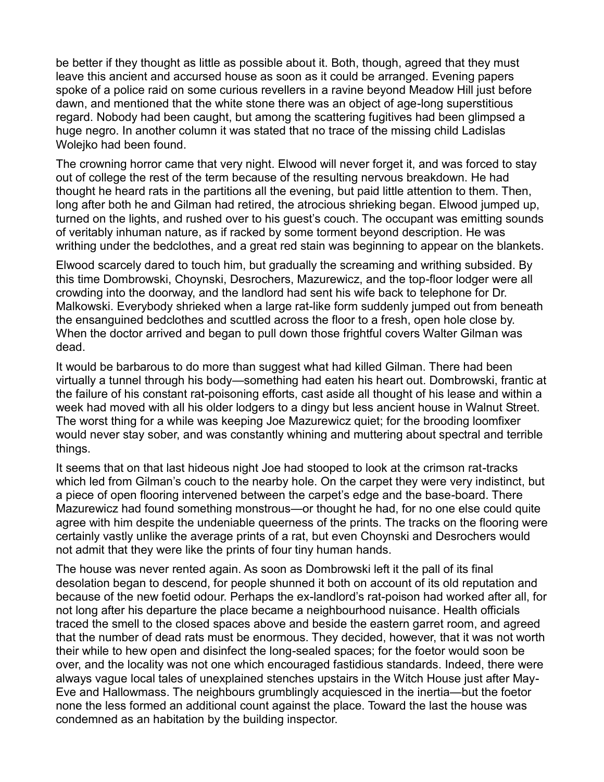be better if they thought as little as possible about it. Both, though, agreed that they must leave this ancient and accursed house as soon as it could be arranged. Evening papers spoke of a police raid on some curious revellers in a ravine beyond Meadow Hill just before dawn, and mentioned that the white stone there was an object of age-long superstitious regard. Nobody had been caught, but among the scattering fugitives had been glimpsed a huge negro. In another column it was stated that no trace of the missing child Ladislas Wolejko had been found.

The crowning horror came that very night. Elwood will never forget it, and was forced to stay out of college the rest of the term because of the resulting nervous breakdown. He had thought he heard rats in the partitions all the evening, but paid little attention to them. Then, long after both he and Gilman had retired, the atrocious shrieking began. Elwood jumped up, turned on the lights, and rushed over to his guest's couch. The occupant was emitting sounds of veritably inhuman nature, as if racked by some torment beyond description. He was writhing under the bedclothes, and a great red stain was beginning to appear on the blankets.

Elwood scarcely dared to touch him, but gradually the screaming and writhing subsided. By this time Dombrowski, Choynski, Desrochers, Mazurewicz, and the top-floor lodger were all crowding into the doorway, and the landlord had sent his wife back to telephone for Dr. Malkowski. Everybody shrieked when a large rat-like form suddenly jumped out from beneath the ensanguined bedclothes and scuttled across the floor to a fresh, open hole close by. When the doctor arrived and began to pull down those frightful covers Walter Gilman was dead.

It would be barbarous to do more than suggest what had killed Gilman. There had been virtually a tunnel through his body—something had eaten his heart out. Dombrowski, frantic at the failure of his constant rat-poisoning efforts, cast aside all thought of his lease and within a week had moved with all his older lodgers to a dingy but less ancient house in Walnut Street. The worst thing for a while was keeping Joe Mazurewicz quiet; for the brooding loomfixer would never stay sober, and was constantly whining and muttering about spectral and terrible things.

It seems that on that last hideous night Joe had stooped to look at the crimson rat-tracks which led from Gilman's couch to the nearby hole. On the carpet they were very indistinct, but a piece of open flooring intervened between the carpet's edge and the base-board. There Mazurewicz had found something monstrous—or thought he had, for no one else could quite agree with him despite the undeniable queerness of the prints. The tracks on the flooring were certainly vastly unlike the average prints of a rat, but even Choynski and Desrochers would not admit that they were like the prints of four tiny human hands.

The house was never rented again. As soon as Dombrowski left it the pall of its final desolation began to descend, for people shunned it both on account of its old reputation and because of the new foetid odour. Perhaps the ex-landlord's rat-poison had worked after all, for not long after his departure the place became a neighbourhood nuisance. Health officials traced the smell to the closed spaces above and beside the eastern garret room, and agreed that the number of dead rats must be enormous. They decided, however, that it was not worth their while to hew open and disinfect the long-sealed spaces; for the foetor would soon be over, and the locality was not one which encouraged fastidious standards. Indeed, there were always vague local tales of unexplained stenches upstairs in the Witch House just after May-Eve and Hallowmass. The neighbours grumblingly acquiesced in the inertia—but the foetor none the less formed an additional count against the place. Toward the last the house was condemned as an habitation by the building inspector.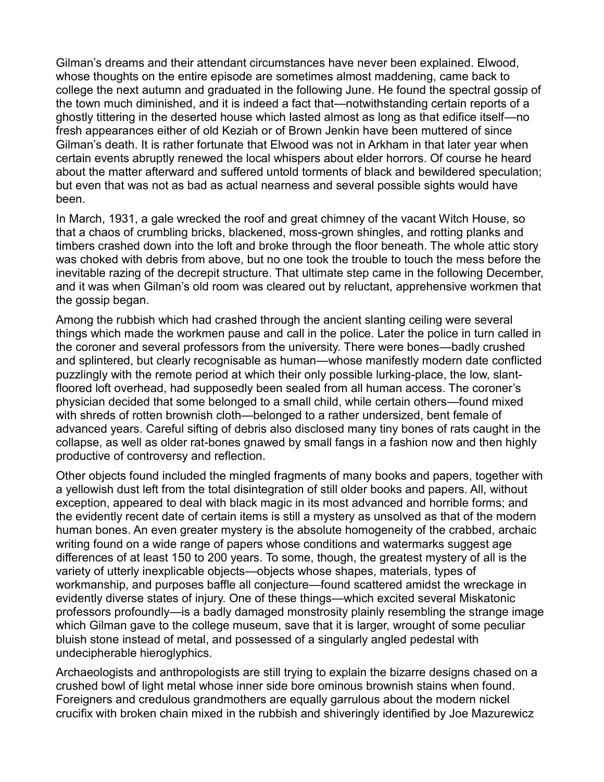Gilman's dreams and their attendant circumstances have never been explained. Elwood, whose thoughts on the entire episode are sometimes almost maddening, came back to college the next autumn and graduated in the following June. He found the spectral gossip of the town much diminished, and it is indeed a fact that—notwithstanding certain reports of a ghostly tittering in the deserted house which lasted almost as long as that edifice itself—no fresh appearances either of old Keziah or of Brown Jenkin have been muttered of since Gilman's death. It is rather fortunate that Elwood was not in Arkham in that later year when certain events abruptly renewed the local whispers about elder horrors. Of course he heard about the matter afterward and suffered untold torments of black and bewildered speculation; but even that was not as bad as actual nearness and several possible sights would have been.

In March, 1931, a gale wrecked the roof and great chimney of the vacant Witch House, so that a chaos of crumbling bricks, blackened, moss-grown shingles, and rotting planks and timbers crashed down into the loft and broke through the floor beneath. The whole attic story was choked with debris from above, but no one took the trouble to touch the mess before the inevitable razing of the decrepit structure. That ultimate step came in the following December, and it was when Gilman's old room was cleared out by reluctant, apprehensive workmen that the gossip began.

Among the rubbish which had crashed through the ancient slanting ceiling were several things which made the workmen pause and call in the police. Later the police in turn called in the coroner and several professors from the university. There were bones—badly crushed and splintered, but clearly recognisable as human—whose manifestly modern date conflicted puzzlingly with the remote period at which their only possible lurking-place, the low, slantfloored loft overhead, had supposedly been sealed from all human access. The coroner's physician decided that some belonged to a small child, while certain others—found mixed with shreds of rotten brownish cloth—belonged to a rather undersized, bent female of advanced years. Careful sifting of debris also disclosed many tiny bones of rats caught in the collapse, as well as older rat-bones gnawed by small fangs in a fashion now and then highly productive of controversy and reflection.

Other objects found included the mingled fragments of many books and papers, together with a yellowish dust left from the total disintegration of still older books and papers. All, without exception, appeared to deal with black magic in its most advanced and horrible forms; and the evidently recent date of certain items is still a mystery as unsolved as that of the modern human bones. An even greater mystery is the absolute homogeneity of the crabbed, archaic writing found on a wide range of papers whose conditions and watermarks suggest age differences of at least 150 to 200 years. To some, though, the greatest mystery of all is the variety of utterly inexplicable objects—objects whose shapes, materials, types of workmanship, and purposes baffle all conjecture—found scattered amidst the wreckage in evidently diverse states of injury. One of these things—which excited several Miskatonic professors profoundly—is a badly damaged monstrosity plainly resembling the strange image which Gilman gave to the college museum, save that it is larger, wrought of some peculiar bluish stone instead of metal, and possessed of a singularly angled pedestal with undecipherable hieroglyphics.

Archaeologists and anthropologists are still trying to explain the bizarre designs chased on a crushed bowl of light metal whose inner side bore ominous brownish stains when found. Foreigners and credulous grandmothers are equally garrulous about the modern nickel crucifix with broken chain mixed in the rubbish and shiveringly identified by Joe Mazurewicz